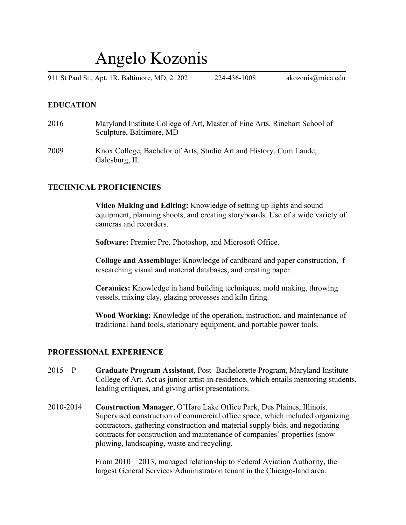# Angelo Kozonis

911 St Paul St., Apt. 1R, Baltimore, MD, 21202 224-436-1008 akozonis@mica.edu

#### **EDUCATION**

- 2016 Maryland Institute College of Art, Master of Fine Arts. Rinehart School of Sculpture, Baltimore, MD
- 2009 Knox College, Bachelor of Arts, Studio Art and History, Cum Laude, Galesburg, IL

#### **TECHNICAL PROFICIENCIES**

**Video Making and Editing:** Knowledge of setting up lights and sound equipment, planning shoots, and creating storyboards. Use of a wide variety of cameras and recorders.

**Software:** Premier Pro, Photoshop, and Microsoft Office.

**Collage and Assemblage:** Knowledge of cardboard and paper construction, f researching visual and material databases, and creating paper.

**Ceramics:** Knowledge in hand building techniques, mold making, throwing vessels, mixing clay, glazing processes and kiln firing.

**Wood Working:** Knowledge of the operation, instruction, and maintenance of traditional hand tools, stationary equipment, and portable power tools.

#### **PROFESSIONAL EXPERIENCE**

- 2015 P **Graduate Program Assistant**, Post- Bachelorette Program, Maryland Institute College of Art. Act as junior artist-in-residence, which entails mentoring students, leading critiques, and giving artist presentations.
- 2010-2014 **Construction Manager**, O'Hare Lake Office Park, Des Plaines, Illinois. Supervised construction of commercial office space, which included organizing contractors, gathering construction and material supply bids, and negotiating contracts for construction and maintenance of companies' properties (snow plowing, landscaping, waste and recycling.

From 2010 – 2013, managed relationship to Federal Aviation Authority, the largest General Services Administration tenant in the Chicago-land area.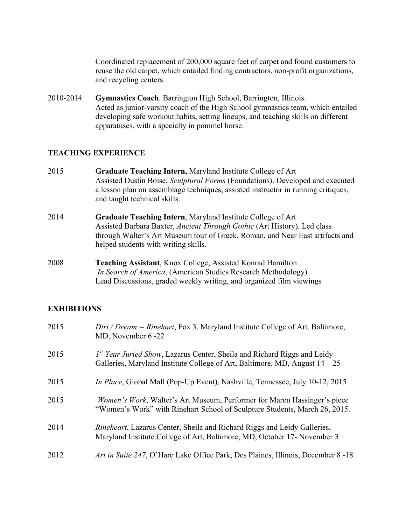Coordinated replacement of 200,000 square feet of carpet and found customers to reuse the old carpet, which entailed finding contractors, non-profit organizations, and recycling centers.

2010-2014 **Gymnastics Coach**. Barrington High School, Barrington, Illinois. Acted as junior-varsity coach of the High School gymnastics team, which entailed developing safe workout habits, setting lineups, and teaching skills on different apparatuses, with a specialty in pommel horse.

#### **TEACHING EXPERIENCE**

- 2015 **Graduate Teaching Intern,** Maryland Institute College of Art Assisted Dustin Boise, *Sculptural Forms* (Foundations). Developed and executed a lesson plan on assemblage techniques, assisted instructor in running critiques, and taught technical skills.
- 2014 **Graduate Teaching Intern**, Maryland Institute College of Art Assisted Barbara Baxter, *Ancient Through Gothic* (Art History). Led class through Walter's Art Museum tour of Greek, Roman, and Near East artifacts and helped students with writing skills.
- 2008 **Teaching Assistant**, Knox College, Assisted Konrad Hamilton *In Search of America*, (American Studies Research Methodology) Lead Discussions, graded weekly writing, and organized film viewings

#### **EXHIBITIONS**

| 2015 | $Dirt / Dream = Rinehart$ , Fox 3, Maryland Institute College of Art, Baltimore,<br>MD, November 6-22                                                          |
|------|----------------------------------------------------------------------------------------------------------------------------------------------------------------|
| 2015 | $Ist$ Year Juried Show, Lazarus Center, Sheila and Richard Riggs and Leidy<br>Galleries, Maryland Institute College of Art, Baltimore, MD, August $14 - 25$    |
| 2015 | <i>In Place</i> , Global Mall (Pop-Up Event), Nashville, Tennessee, July 10-12, 2015                                                                           |
| 2015 | <i>Women's Work</i> , Walter's Art Museum, Performer for Maren Hassinger's piece<br>"Women's Work" with Rinehart School of Sculpture Students, March 26, 2015. |
| 2014 | <i>Rineheart</i> , Lazarus Center, Sheila and Richard Riggs and Leidy Galleries,<br>Maryland Institute College of Art, Baltimore, MD, October 17- November 3   |
| 2012 | Art in Suite 247, O'Hare Lake Office Park, Des Plaines, Illinois, December 8 -18                                                                               |